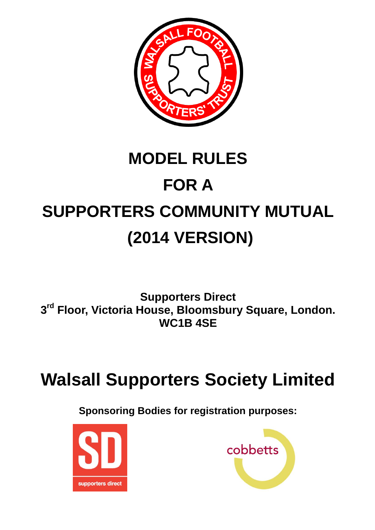

# **MODEL RULES FOR A SUPPORTERS COMMUNITY MUTUAL (2014 VERSION)**

**Supporters Direct 3 rd Floor, Victoria House, Bloomsbury Square, London. WC1B 4SE**

# **Walsall Supporters Society Limited**

**Sponsoring Bodies for registration purposes:**



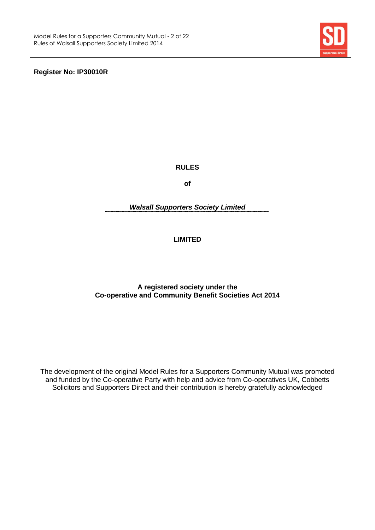

**Register No: IP30010R**

**RULES**

**of**

*Walsall Supporters Society Limited*

# **LIMITED**

# **A registered society under the Co-operative and Community Benefit Societies Act 2014**

The development of the original Model Rules for a Supporters Community Mutual was promoted and funded by the Co-operative Party with help and advice from Co-operatives UK, Cobbetts Solicitors and Supporters Direct and their contribution is hereby gratefully acknowledged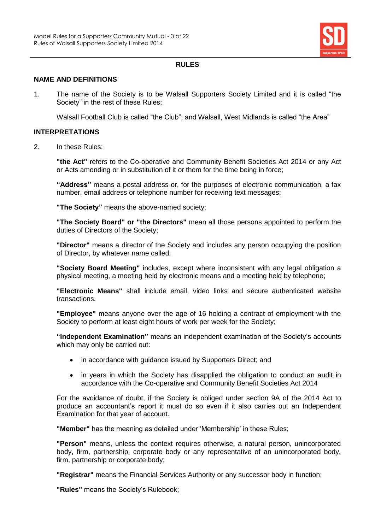

# **RULES**

# **NAME AND DEFINITIONS**

1. The name of the Society is to be Walsall Supporters Society Limited and it is called "the Society" in the rest of these Rules;

Walsall Football Club is called "the Club"; and Walsall, West Midlands is called "the Area"

## **INTERPRETATIONS**

2. In these Rules:

**"the Act"** refers to the Co-operative and Community Benefit Societies Act 2014 or any Act or Acts amending or in substitution of it or them for the time being in force;

**"Address"** means a postal address or, for the purposes of electronic communication, a fax number, email address or telephone number for receiving text messages;

**"The Society"** means the above-named society;

**"The Society Board" or "the Directors"** mean all those persons appointed to perform the duties of Directors of the Society;

**"Director"** means a director of the Society and includes any person occupying the position of Director, by whatever name called;

**"Society Board Meeting"** includes, except where inconsistent with any legal obligation a physical meeting, a meeting held by electronic means and a meeting held by telephone;

**"Electronic Means"** shall include email, video links and secure authenticated website transactions.

**"Employee"** means anyone over the age of 16 holding a contract of employment with the Society to perform at least eight hours of work per week for the Society;

**"Independent Examination"** means an independent examination of the Society's accounts which may only be carried out:

- in accordance with guidance issued by Supporters Direct; and
- in years in which the Society has disapplied the obligation to conduct an audit in accordance with the Co-operative and Community Benefit Societies Act 2014

For the avoidance of doubt, if the Society is obliged under section 9A of the 2014 Act to produce an accountant's report it must do so even if it also carries out an Independent Examination for that year of account.

**"Member"** has the meaning as detailed under 'Membership' in these Rules;

**"Person"** means, unless the context requires otherwise, a natural person, unincorporated body, firm, partnership, corporate body or any representative of an unincorporated body, firm, partnership or corporate body;

**"Registrar"** means the Financial Services Authority or any successor body in function;

**"Rules"** means the Society's Rulebook;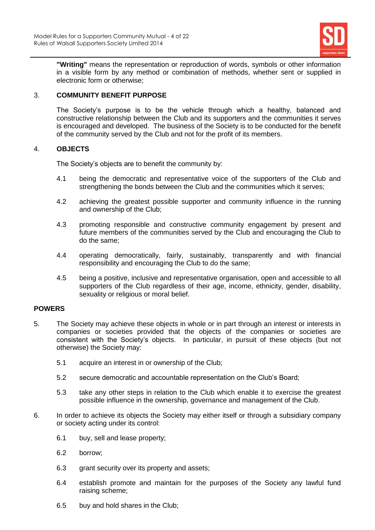

**"Writing"** means the representation or reproduction of words, symbols or other information in a visible form by any method or combination of methods, whether sent or supplied in electronic form or otherwise;

# 3. **COMMUNITY BENEFIT PURPOSE**

The Society's purpose is to be the vehicle through which a healthy, balanced and constructive relationship between the Club and its supporters and the communities it serves is encouraged and developed. The business of the Society is to be conducted for the benefit of the community served by the Club and not for the profit of its members.

# 4. **OBJECTS**

The Society's objects are to benefit the community by:

- 4.1 being the democratic and representative voice of the supporters of the Club and strengthening the bonds between the Club and the communities which it serves;
- 4.2 achieving the greatest possible supporter and community influence in the running and ownership of the Club;
- 4.3 promoting responsible and constructive community engagement by present and future members of the communities served by the Club and encouraging the Club to do the same;
- 4.4 operating democratically, fairly, sustainably, transparently and with financial responsibility and encouraging the Club to do the same;
- 4.5 being a positive, inclusive and representative organisation, open and accessible to all supporters of the Club regardless of their age, income, ethnicity, gender, disability, sexuality or religious or moral belief.

# **POWERS**

- 5. The Society may achieve these objects in whole or in part through an interest or interests in companies or societies provided that the objects of the companies or societies are consistent with the Society's objects. In particular, in pursuit of these objects (but not otherwise) the Society may:
	- 5.1 acquire an interest in or ownership of the Club;
	- 5.2 secure democratic and accountable representation on the Club's Board;
	- 5.3 take any other steps in relation to the Club which enable it to exercise the greatest possible influence in the ownership, governance and management of the Club.
- 6. In order to achieve its objects the Society may either itself or through a subsidiary company or society acting under its control:
	- 6.1 buy, sell and lease property;
	- 6.2 borrow;
	- 6.3 grant security over its property and assets;
	- 6.4 establish promote and maintain for the purposes of the Society any lawful fund raising scheme;
	- 6.5 buy and hold shares in the Club;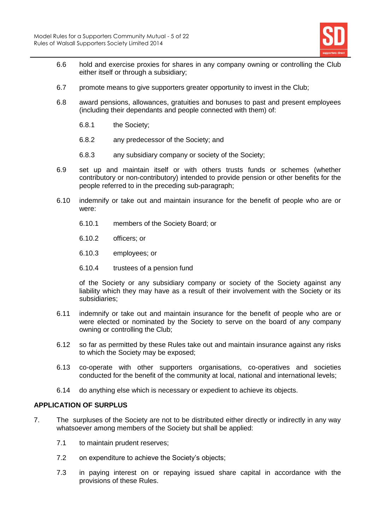

- 6.6 hold and exercise proxies for shares in any company owning or controlling the Club either itself or through a subsidiary;
- 6.7 promote means to give supporters greater opportunity to invest in the Club;
- 6.8 award pensions, allowances, gratuities and bonuses to past and present employees (including their dependants and people connected with them) of:
	- 6.8.1 the Society;
	- 6.8.2 any predecessor of the Society; and
	- 6.8.3 any subsidiary company or society of the Society;
- 6.9 set up and maintain itself or with others trusts funds or schemes (whether contributory or non-contributory) intended to provide pension or other benefits for the people referred to in the preceding sub-paragraph;
- 6.10 indemnify or take out and maintain insurance for the benefit of people who are or were:
	- 6.10.1 members of the Society Board; or
	- 6.10.2 officers; or
	- 6.10.3 employees; or
	- 6.10.4 trustees of a pension fund

of the Society or any subsidiary company or society of the Society against any liability which they may have as a result of their involvement with the Society or its subsidiaries;

- 6.11 indemnify or take out and maintain insurance for the benefit of people who are or were elected or nominated by the Society to serve on the board of any company owning or controlling the Club;
- 6.12 so far as permitted by these Rules take out and maintain insurance against any risks to which the Society may be exposed;
- 6.13 co-operate with other supporters organisations, co-operatives and societies conducted for the benefit of the community at local, national and international levels;
- 6.14 do anything else which is necessary or expedient to achieve its objects.

#### **APPLICATION OF SURPLUS**

- <span id="page-4-0"></span>7. The surpluses of the Society are not to be distributed either directly or indirectly in any way whatsoever among members of the Society but shall be applied:
	- 7.1 to maintain prudent reserves;
	- 7.2 on expenditure to achieve the Society's objects;
	- 7.3 in paying interest on or repaying issued share capital in accordance with the provisions of these Rules.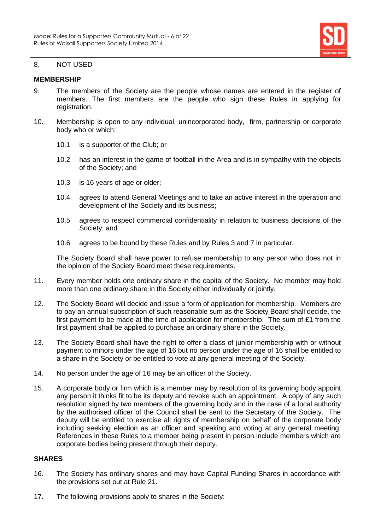

#### 8. NOT USED

# **MEMBERSHIP**

- 9. The members of the Society are the people whose names are entered in the register of members. The first members are the people who sign these Rules in applying for registration.
- 10. Membership is open to any individual, unincorporated body, firm, partnership or corporate body who or which:
	- 10.1 is a supporter of the Club; or
	- 10.2 has an interest in the game of football in the Area and is in sympathy with the objects of the Society; and
	- 10.3 is 16 years of age or older;
	- 10.4 agrees to attend General Meetings and to take an active interest in the operation and development of the Society and its business;
	- 10.5 agrees to respect commercial confidentiality in relation to business decisions of the Society; and
	- 10.6 agrees to be bound by these Rules and by Rules 3 and [7](#page-4-0) in particular.

The Society Board shall have power to refuse membership to any person who does not in the opinion of the Society Board meet these requirements.

- 11. Every member holds one ordinary share in the capital of the Society. No member may hold more than one ordinary share in the Society either individually or jointly.
- 12. The Society Board will decide and issue a form of application for membership. Members are to pay an annual subscription of such reasonable sum as the Society Board shall decide, the first payment to be made at the time of application for membership. The sum of £1 from the first payment shall be applied to purchase an ordinary share in the Society.
- 13. The Society Board shall have the right to offer a class of junior membership with or without payment to minors under the age of 16 but no person under the age of 16 shall be entitled to a share in the Society or be entitled to vote at any general meeting of the Society.
- 14. No person under the age of 16 may be an officer of the Society.
- 15. A corporate body or firm which is a member may by resolution of its governing body appoint any person it thinks fit to be its deputy and revoke such an appointment. A copy of any such resolution signed by two members of the governing body and in the case of a local authority by the authorised officer of the Council shall be sent to the Secretary of the Society. The deputy will be entitled to exercise all rights of membership on behalf of the corporate body including seeking election as an officer and speaking and voting at any general meeting. References in these Rules to a member being present in person include members which are corporate bodies being present through their deputy.

# **SHARES**

- 16. The Society has ordinary shares and may have Capital Funding Shares in accordance with the provisions set out at Rule 21.
- 17. The following provisions apply to shares in the Society: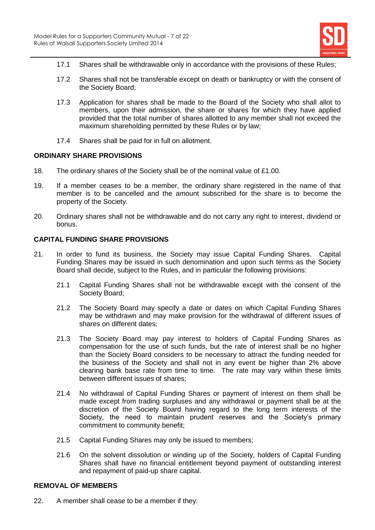

- 17.1 Shares shall be withdrawable only in accordance with the provisions of these Rules;
- 17.2 Shares shall not be transferable except on death or bankruptcy or with the consent of the Society Board;
- 17.3 Application for shares shall be made to the Board of the Society who shall allot to members, upon their admission, the share or shares for which they have applied provided that the total number of shares allotted to any member shall not exceed the maximum shareholding permitted by these Rules or by law;
- 17.4 Shares shall be paid for in full on allotment.

# **ORDINARY SHARE PROVISIONS**

- 18. The ordinary shares of the Society shall be of the nominal value of £1.00.
- 19. If a member ceases to be a member, the ordinary share registered in the name of that member is to be cancelled and the amount subscribed for the share is to become the property of the Society.
- 20. Ordinary shares shall not be withdrawable and do not carry any right to interest, dividend or bonus.

# **CAPITAL FUNDING SHARE PROVISIONS**

- 21. In order to fund its business, the Society may issue Capital Funding Shares. Capital Funding Shares may be issued in such denomination and upon such terms as the Society Board shall decide, subject to the Rules, and in particular the following provisions:
	- 21.1 Capital Funding Shares shall not be withdrawable except with the consent of the Society Board;
	- 21.2 The Society Board may specify a date or dates on which Capital Funding Shares may be withdrawn and may make provision for the withdrawal of different issues of shares on different dates;
	- 21.3 The Society Board may pay interest to holders of Capital Funding Shares as compensation for the use of such funds, but the rate of interest shall be no higher than the Society Board considers to be necessary to attract the funding needed for the business of the Society and shall not in any event be higher than 2% above clearing bank base rate from time to time. The rate may vary within these limits between different issues of shares;
	- 21.4 No withdrawal of Capital Funding Shares or payment of interest on them shall be made except from trading surpluses and any withdrawal or payment shall be at the discretion of the Society Board having regard to the long term interests of the Society, the need to maintain prudent reserves and the Society's primary commitment to community benefit;
	- 21.5 Capital Funding Shares may only be issued to members;
	- 21.6 On the solvent dissolution or winding up of the Society, holders of Capital Funding Shares shall have no financial entitlement beyond payment of outstanding interest and repayment of paid-up share capital.

# **REMOVAL OF MEMBERS**

22. A member shall cease to be a member if they: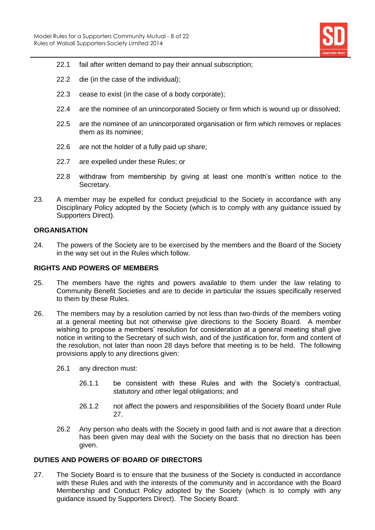

- 22.1 fail after written demand to pay their annual subscription;
- 22.2 die (in the case of the individual);
- 22.3 cease to exist (in the case of a body corporate);
- 22.4 are the nominee of an unincorporated Society or firm which is wound up or dissolved;
- 22.5 are the nominee of an unincorporated organisation or firm which removes or replaces them as its nominee;
- 22.6 are not the holder of a fully paid up share;
- 22.7 are expelled under these Rules; or
- 22.8 withdraw from membership by giving at least one month's written notice to the Secretary.
- 23. A member may be expelled for conduct prejudicial to the Society in accordance with any Disciplinary Policy adopted by the Society (which is to comply with any guidance issued by Supporters Direct).

# **ORGANISATION**

24. The powers of the Society are to be exercised by the members and the Board of the Society in the way set out in the Rules which follow.

# **RIGHTS AND POWERS OF MEMBERS**

- 25. The members have the rights and powers available to them under the law relating to Community Benefit Societies and are to decide in particular the issues specifically reserved to them by these Rules.
- 26. The members may by a resolution carried by not less than two-thirds of the members voting at a general meeting but not otherwise give directions to the Society Board. A member wishing to propose a members' resolution for consideration at a general meeting shall give notice in writing to the Secretary of such wish, and of the justification for, form and content of the resolution, not later than noon 28 days before that meeting is to be held. The following provisions apply to any directions given:
	- 26.1 any direction must:
		- 26.1.1 be consistent with these Rules and with the Society's contractual, statutory and other legal obligations; and
		- 26.1.2 not affect the powers and responsibilities of the Society Board under Rule 27.
	- 26.2 Any person who deals with the Society in good faith and is not aware that a direction has been given may deal with the Society on the basis that no direction has been given.

# **DUTIES AND POWERS OF BOARD OF DIRECTORS**

27. The Society Board is to ensure that the business of the Society is conducted in accordance with these Rules and with the interests of the community and in accordance with the Board Membership and Conduct Policy adopted by the Society (which is to comply with any guidance issued by Supporters Direct). The Society Board: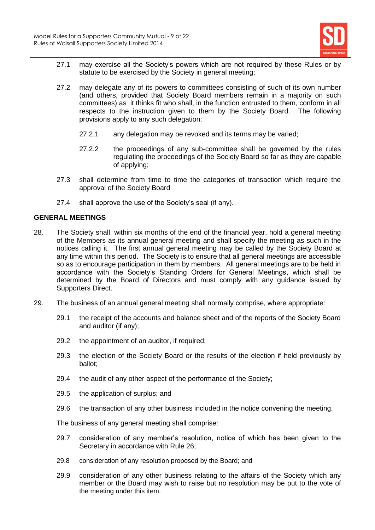

- 27.1 may exercise all the Society's powers which are not required by these Rules or by statute to be exercised by the Society in general meeting;
- 27.2 may delegate any of its powers to committees consisting of such of its own number (and others, provided that Society Board members remain in a majority on such committees) as it thinks fit who shall, in the function entrusted to them, conform in all respects to the instruction given to them by the Society Board. The following provisions apply to any such delegation:
	- 27.2.1 any delegation may be revoked and its terms may be varied;
	- 27.2.2 the proceedings of any sub-committee shall be governed by the rules regulating the proceedings of the Society Board so far as they are capable of applying;
- 27.3 shall determine from time to time the categories of transaction which require the approval of the Society Board
- 27.4 shall approve the use of the Society's seal (if any).

# **GENERAL MEETINGS**

- 28. The Society shall, within six months of the end of the financial year, hold a general meeting of the Members as its annual general meeting and shall specify the meeting as such in the notices calling it. The first annual general meeting may be called by the Society Board at any time within this period. The Society is to ensure that all general meetings are accessible so as to encourage participation in them by members. All general meetings are to be held in accordance with the Society's Standing Orders for General Meetings, which shall be determined by the Board of Directors and must comply with any guidance issued by Supporters Direct.
- 29. The business of an annual general meeting shall normally comprise, where appropriate:
	- 29.1 the receipt of the accounts and balance sheet and of the reports of the Society Board and auditor (if any);
	- 29.2 the appointment of an auditor, if required;
	- 29.3 the election of the Society Board or the results of the election if held previously by ballot;
	- 29.4 the audit of any other aspect of the performance of the Society;
	- 29.5 the application of surplus; and
	- 29.6 the transaction of any other business included in the notice convening the meeting.

The business of any general meeting shall comprise:

- 29.7 consideration of any member's resolution, notice of which has been given to the Secretary in accordance with Rule 26;
- 29.8 consideration of any resolution proposed by the Board; and
- 29.9 consideration of any other business relating to the affairs of the Society which any member or the Board may wish to raise but no resolution may be put to the vote of the meeting under this item.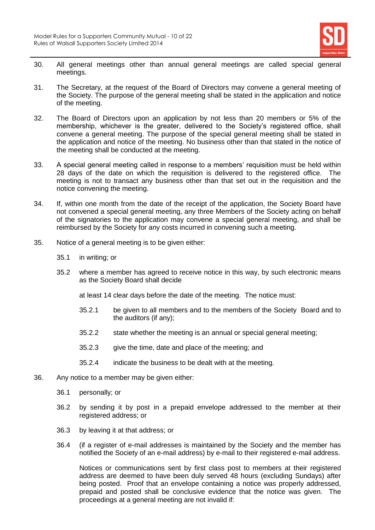

- 30. All general meetings other than annual general meetings are called special general meetings.
- 31. The Secretary, at the request of the Board of Directors may convene a general meeting of the Society. The purpose of the general meeting shall be stated in the application and notice of the meeting.
- 32. The Board of Directors upon an application by not less than 20 members or 5% of the membership, whichever is the greater, delivered to the Society's registered office, shall convene a general meeting. The purpose of the special general meeting shall be stated in the application and notice of the meeting. No business other than that stated in the notice of the meeting shall be conducted at the meeting.
- 33. A special general meeting called in response to a members' requisition must be held within 28 days of the date on which the requisition is delivered to the registered office. The meeting is not to transact any business other than that set out in the requisition and the notice convening the meeting.
- 34. If, within one month from the date of the receipt of the application, the Society Board have not convened a special general meeting, any three Members of the Society acting on behalf of the signatories to the application may convene a special general meeting, and shall be reimbursed by the Society for any costs incurred in convening such a meeting.
- 35. Notice of a general meeting is to be given either:
	- 35.1 in writing; or
	- 35.2 where a member has agreed to receive notice in this way, by such electronic means as the Society Board shall decide
		- at least 14 clear days before the date of the meeting. The notice must:
		- 35.2.1 be given to all members and to the members of the Society Board and to the auditors (if any);
		- 35.2.2 state whether the meeting is an annual or special general meeting;
		- 35.2.3 give the time, date and place of the meeting; and
		- 35.2.4 indicate the business to be dealt with at the meeting.
- 36. Any notice to a member may be given either:
	- 36.1 personally; or
	- 36.2 by sending it by post in a prepaid envelope addressed to the member at their registered address; or
	- 36.3 by leaving it at that address; or
	- 36.4 (if a register of e-mail addresses is maintained by the Society and the member has notified the Society of an e-mail address) by e-mail to their registered e-mail address.

Notices or communications sent by first class post to members at their registered address are deemed to have been duly served 48 hours (excluding Sundays) after being posted. Proof that an envelope containing a notice was properly addressed, prepaid and posted shall be conclusive evidence that the notice was given. The proceedings at a general meeting are not invalid if: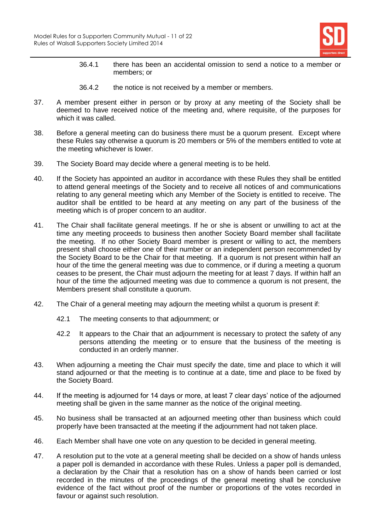

- 36.4.1 there has been an accidental omission to send a notice to a member or members; or
- 36.4.2 the notice is not received by a member or members.
- 37. A member present either in person or by proxy at any meeting of the Society shall be deemed to have received notice of the meeting and, where requisite, of the purposes for which it was called.
- 38. Before a general meeting can do business there must be a quorum present. Except where these Rules say otherwise a quorum is 20 members or 5% of the members entitled to vote at the meeting whichever is lower.
- 39. The Society Board may decide where a general meeting is to be held.
- 40. If the Society has appointed an auditor in accordance with these Rules they shall be entitled to attend general meetings of the Society and to receive all notices of and communications relating to any general meeting which any Member of the Society is entitled to receive. The auditor shall be entitled to be heard at any meeting on any part of the business of the meeting which is of proper concern to an auditor.
- 41. The Chair shall facilitate general meetings. If he or she is absent or unwilling to act at the time any meeting proceeds to business then another Society Board member shall facilitate the meeting. If no other Society Board member is present or willing to act, the members present shall choose either one of their number or an independent person recommended by the Society Board to be the Chair for that meeting. If a quorum is not present within half an hour of the time the general meeting was due to commence, or if during a meeting a quorum ceases to be present, the Chair must adjourn the meeting for at least 7 days. If within half an hour of the time the adjourned meeting was due to commence a quorum is not present, the Members present shall constitute a quorum.
- 42. The Chair of a general meeting may adjourn the meeting whilst a quorum is present if:
	- 42.1 The meeting consents to that adjournment; or
	- 42.2 It appears to the Chair that an adjournment is necessary to protect the safety of any persons attending the meeting or to ensure that the business of the meeting is conducted in an orderly manner.
- 43. When adjourning a meeting the Chair must specify the date, time and place to which it will stand adjourned or that the meeting is to continue at a date, time and place to be fixed by the Society Board.
- 44. If the meeting is adjourned for 14 days or more, at least 7 clear days' notice of the adjourned meeting shall be given in the same manner as the notice of the original meeting.
- 45. No business shall be transacted at an adjourned meeting other than business which could properly have been transacted at the meeting if the adjournment had not taken place.
- 46. Each Member shall have one vote on any question to be decided in general meeting.
- 47. A resolution put to the vote at a general meeting shall be decided on a show of hands unless a paper poll is demanded in accordance with these Rules. Unless a paper poll is demanded, a declaration by the Chair that a resolution has on a show of hands been carried or lost recorded in the minutes of the proceedings of the general meeting shall be conclusive evidence of the fact without proof of the number or proportions of the votes recorded in favour or against such resolution.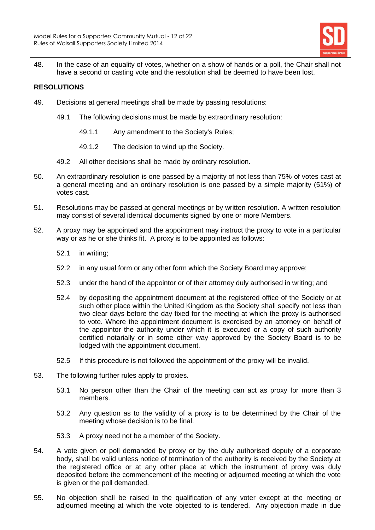

48. In the case of an equality of votes, whether on a show of hands or a poll, the Chair shall not have a second or casting vote and the resolution shall be deemed to have been lost.

# **RESOLUTIONS**

- 49. Decisions at general meetings shall be made by passing resolutions:
	- 49.1 The following decisions must be made by extraordinary resolution:
		- 49.1.1 Any amendment to the Society's Rules;
		- 49.1.2 The decision to wind up the Society.
	- 49.2 All other decisions shall be made by ordinary resolution.
- 50. An extraordinary resolution is one passed by a majority of not less than 75% of votes cast at a general meeting and an ordinary resolution is one passed by a simple majority (51%) of votes cast.
- 51. Resolutions may be passed at general meetings or by written resolution. A written resolution may consist of several identical documents signed by one or more Members.
- 52. A proxy may be appointed and the appointment may instruct the proxy to vote in a particular way or as he or she thinks fit. A proxy is to be appointed as follows:
	- 52.1 in writing;
	- 52.2 in any usual form or any other form which the Society Board may approve;
	- 52.3 under the hand of the appointor or of their attorney duly authorised in writing; and
	- 52.4 by depositing the appointment document at the registered office of the Society or at such other place within the United Kingdom as the Society shall specify not less than two clear days before the day fixed for the meeting at which the proxy is authorised to vote. Where the appointment document is exercised by an attorney on behalf of the appointor the authority under which it is executed or a copy of such authority certified notarially or in some other way approved by the Society Board is to be lodged with the appointment document.
	- 52.5 If this procedure is not followed the appointment of the proxy will be invalid.
- 53. The following further rules apply to proxies.
	- 53.1 No person other than the Chair of the meeting can act as proxy for more than 3 members.
	- 53.2 Any question as to the validity of a proxy is to be determined by the Chair of the meeting whose decision is to be final.
	- 53.3 A proxy need not be a member of the Society.
- 54. A vote given or poll demanded by proxy or by the duly authorised deputy of a corporate body, shall be valid unless notice of termination of the authority is received by the Society at the registered office or at any other place at which the instrument of proxy was duly deposited before the commencement of the meeting or adjourned meeting at which the vote is given or the poll demanded.
- 55. No objection shall be raised to the qualification of any voter except at the meeting or adjourned meeting at which the vote objected to is tendered. Any objection made in due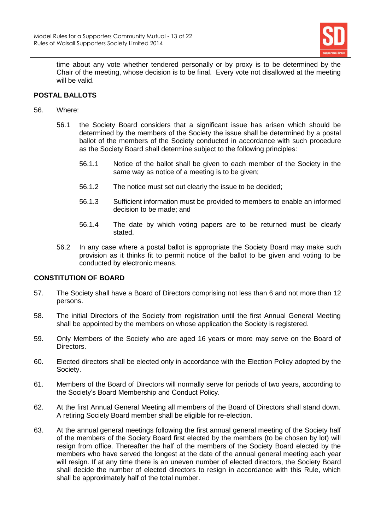

time about any vote whether tendered personally or by proxy is to be determined by the Chair of the meeting, whose decision is to be final. Every vote not disallowed at the meeting will be valid.

# **POSTAL BALLOTS**

- 56. Where:
	- 56.1 the Society Board considers that a significant issue has arisen which should be determined by the members of the Society the issue shall be determined by a postal ballot of the members of the Society conducted in accordance with such procedure as the Society Board shall determine subject to the following principles:
		- 56.1.1 Notice of the ballot shall be given to each member of the Society in the same way as notice of a meeting is to be given;
		- 56.1.2 The notice must set out clearly the issue to be decided;
		- 56.1.3 Sufficient information must be provided to members to enable an informed decision to be made; and
		- 56.1.4 The date by which voting papers are to be returned must be clearly stated.
	- 56.2 In any case where a postal ballot is appropriate the Society Board may make such provision as it thinks fit to permit notice of the ballot to be given and voting to be conducted by electronic means.

# **CONSTITUTION OF BOARD**

- 57. The Society shall have a Board of Directors comprising not less than 6 and not more than 12 persons.
- 58. The initial Directors of the Society from registration until the first Annual General Meeting shall be appointed by the members on whose application the Society is registered.
- 59. Only Members of the Society who are aged 16 years or more may serve on the Board of Directors.
- 60. Elected directors shall be elected only in accordance with the Election Policy adopted by the Society.
- 61. Members of the Board of Directors will normally serve for periods of two years, according to the Society's Board Membership and Conduct Policy.
- 62. At the first Annual General Meeting all members of the Board of Directors shall stand down. A retiring Society Board member shall be eligible for re-election.
- 63. At the annual general meetings following the first annual general meeting of the Society half of the members of the Society Board first elected by the members (to be chosen by lot) will resign from office. Thereafter the half of the members of the Society Board elected by the members who have served the longest at the date of the annual general meeting each year will resign. If at any time there is an uneven number of elected directors, the Society Board shall decide the number of elected directors to resign in accordance with this Rule, which shall be approximately half of the total number.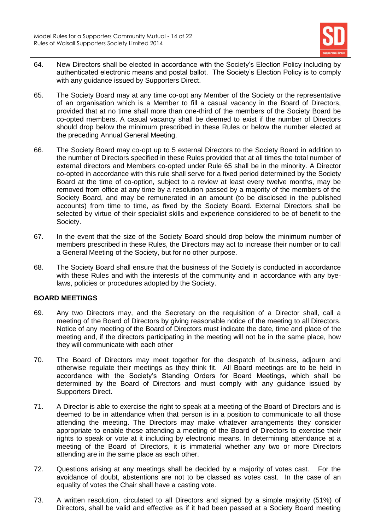

- 64. New Directors shall be elected in accordance with the Society's Election Policy including by authenticated electronic means and postal ballot. The Society's Election Policy is to comply with any guidance issued by Supporters Direct.
- 65. The Society Board may at any time co-opt any Member of the Society or the representative of an organisation which is a Member to fill a casual vacancy in the Board of Directors, provided that at no time shall more than one-third of the members of the Society Board be co-opted members. A casual vacancy shall be deemed to exist if the number of Directors should drop below the minimum prescribed in these Rules or below the number elected at the preceding Annual General Meeting.
- 66. The Society Board may co-opt up to 5 external Directors to the Society Board in addition to the number of Directors specified in these Rules provided that at all times the total number of external directors and Members co-opted under Rule 65 shall be in the minority. A Director co-opted in accordance with this rule shall serve for a fixed period determined by the Society Board at the time of co-option, subject to a review at least every twelve months, may be removed from office at any time by a resolution passed by a majority of the members of the Society Board, and may be remunerated in an amount (to be disclosed in the published accounts) from time to time, as fixed by the Society Board. External Directors shall be selected by virtue of their specialist skills and experience considered to be of benefit to the Society.
- 67. In the event that the size of the Society Board should drop below the minimum number of members prescribed in these Rules, the Directors may act to increase their number or to call a General Meeting of the Society, but for no other purpose.
- 68. The Society Board shall ensure that the business of the Society is conducted in accordance with these Rules and with the interests of the community and in accordance with any byelaws, policies or procedures adopted by the Society.

# **BOARD MEETINGS**

- 69. Any two Directors may, and the Secretary on the requisition of a Director shall, call a meeting of the Board of Directors by giving reasonable notice of the meeting to all Directors. Notice of any meeting of the Board of Directors must indicate the date, time and place of the meeting and, if the directors participating in the meeting will not be in the same place, how they will communicate with each other
- 70. The Board of Directors may meet together for the despatch of business, adjourn and otherwise regulate their meetings as they think fit. All Board meetings are to be held in accordance with the Society's Standing Orders for Board Meetings, which shall be determined by the Board of Directors and must comply with any guidance issued by Supporters Direct.
- 71. A Director is able to exercise the right to speak at a meeting of the Board of Directors and is deemed to be in attendance when that person is in a position to communicate to all those attending the meeting. The Directors may make whatever arrangements they consider appropriate to enable those attending a meeting of the Board of Directors to exercise their rights to speak or vote at it including by electronic means. In determining attendance at a meeting of the Board of Directors, it is immaterial whether any two or more Directors attending are in the same place as each other.
- 72. Questions arising at any meetings shall be decided by a majority of votes cast. For the avoidance of doubt, abstentions are not to be classed as votes cast. In the case of an equality of votes the Chair shall have a casting vote.
- 73. A written resolution, circulated to all Directors and signed by a simple majority (51%) of Directors, shall be valid and effective as if it had been passed at a Society Board meeting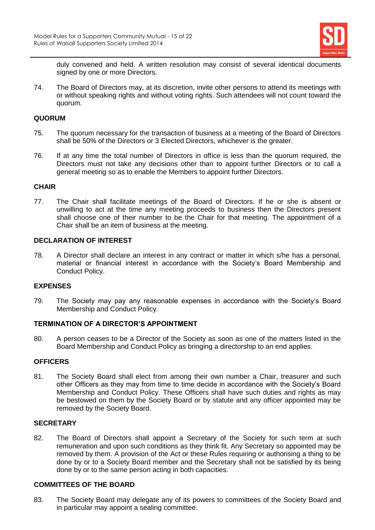

duly convened and held. A written resolution may consist of several identical documents signed by one or more Directors.

74. The Board of Directors may, at its discretion, invite other persons to attend its meetings with or without speaking rights and without voting rights. Such attendees will not count toward the quorum.

# **QUORUM**

- 75. The quorum necessary for the transaction of business at a meeting of the Board of Directors shall be 50% of the Directors or 3 Elected Directors, whichever is the greater.
- 76. If at any time the total number of Directors in office is less than the quorum required, the Directors must not take any decisions other than to appoint further Directors or to call a general meeting so as to enable the Members to appoint further Directors.

# **CHAIR**

77. The Chair shall facilitate meetings of the Board of Directors. If he or she is absent or unwilling to act at the time any meeting proceeds to business then the Directors present shall choose one of their number to be the Chair for that meeting. The appointment of a Chair shall be an item of business at the meeting.

# **DECLARATION OF INTEREST**

78. A Director shall declare an interest in any contract or matter in which s/he has a personal, material or financial interest in accordance with the Society's Board Membership and Conduct Policy.

# **EXPENSES**

79. The Society may pay any reasonable expenses in accordance with the Society's Board Membership and Conduct Policy.

# **TERMINATION OF A DIRECTOR'S APPOINTMENT**

80. A person ceases to be a Director of the Society as soon as one of the matters listed in the Board Membership and Conduct Policy as bringing a directorship to an end applies.

# **OFFICERS**

81. The Society Board shall elect from among their own number a Chair, treasurer and such other Officers as they may from time to time decide in accordance with the Society's Board Membership and Conduct Policy. These Officers shall have such duties and rights as may be bestowed on them by the Society Board or by statute and any officer appointed may be removed by the Society Board.

# **SECRETARY**

82. The Board of Directors shall appoint a Secretary of the Society for such term at such remuneration and upon such conditions as they think fit. Any Secretary so appointed may be removed by them. A provision of the Act or these Rules requiring or authorising a thing to be done by or to a Society Board member and the Secretary shall not be satisfied by its being done by or to the same person acting in both capacities.

#### **COMMITTEES OF THE BOARD**

83. The Society Board may delegate any of its powers to committees of the Society Board and in particular may appoint a sealing committee.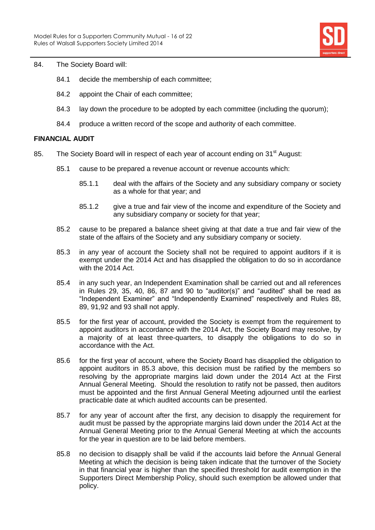

#### 84. The Society Board will:

- 84.1 decide the membership of each committee;
- 84.2 appoint the Chair of each committee;
- 84.3 lay down the procedure to be adopted by each committee (including the quorum);
- 84.4 produce a written record of the scope and authority of each committee.

# **FINANCIAL AUDIT**

- 85. The Society Board will in respect of each year of account ending on 31<sup>st</sup> August:
	- 85.1 cause to be prepared a revenue account or revenue accounts which:
		- 85.1.1 deal with the affairs of the Society and any subsidiary company or society as a whole for that year; and
		- 85.1.2 give a true and fair view of the income and expenditure of the Society and any subsidiary company or society for that year;
	- 85.2 cause to be prepared a balance sheet giving at that date a true and fair view of the state of the affairs of the Society and any subsidiary company or society.
	- 85.3 in any year of account the Society shall not be required to appoint auditors if it is exempt under the 2014 Act and has disapplied the obligation to do so in accordance with the 2014 Act.
	- 85.4 in any such year, an Independent Examination shall be carried out and all references in Rules 29, 35, 40, 86, 87 and 90 to "auditor(s)" and "audited" shall be read as "Independent Examiner" and "Independently Examined" respectively and Rules 88, 89, 91,92 and 93 shall not apply.
	- 85.5 for the first year of account, provided the Society is exempt from the requirement to appoint auditors in accordance with the 2014 Act, the Society Board may resolve, by a majority of at least three-quarters, to disapply the obligations to do so in accordance with the Act.
	- 85.6 for the first year of account, where the Society Board has disapplied the obligation to appoint auditors in 85.3 above, this decision must be ratified by the members so resolving by the appropriate margins laid down under the 2014 Act at the First Annual General Meeting. Should the resolution to ratify not be passed, then auditors must be appointed and the first Annual General Meeting adjourned until the earliest practicable date at which audited accounts can be presented.
	- 85.7 for any year of account after the first, any decision to disapply the requirement for audit must be passed by the appropriate margins laid down under the 2014 Act at the Annual General Meeting prior to the Annual General Meeting at which the accounts for the year in question are to be laid before members.
	- 85.8 no decision to disapply shall be valid if the accounts laid before the Annual General Meeting at which the decision is being taken indicate that the turnover of the Society in that financial year is higher than the specified threshold for audit exemption in the Supporters Direct Membership Policy, should such exemption be allowed under that policy.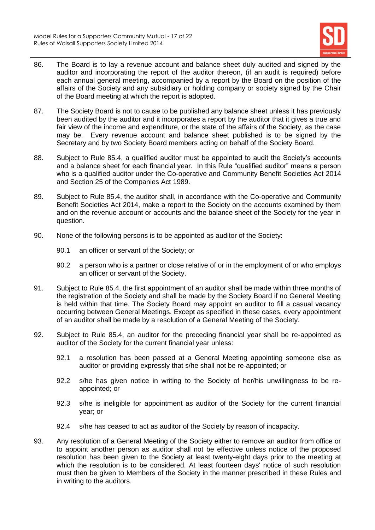

- 86. The Board is to lay a revenue account and balance sheet duly audited and signed by the auditor and incorporating the report of the auditor thereon, (if an audit is required) before each annual general meeting, accompanied by a report by the Board on the position of the affairs of the Society and any subsidiary or holding company or society signed by the Chair of the Board meeting at which the report is adopted.
- 87. The Society Board is not to cause to be published any balance sheet unless it has previously been audited by the auditor and it incorporates a report by the auditor that it gives a true and fair view of the income and expenditure, or the state of the affairs of the Society, as the case may be. Every revenue account and balance sheet published is to be signed by the Secretary and by two Society Board members acting on behalf of the Society Board.
- 88. Subject to Rule 85.4, a qualified auditor must be appointed to audit the Society's accounts and a balance sheet for each financial year. In this Rule "qualified auditor" means a person who is a qualified auditor under the Co-operative and Community Benefit Societies Act 2014 and Section 25 of the Companies Act 1989.
- 89. Subject to Rule 85.4, the auditor shall, in accordance with the Co-operative and Community Benefit Societies Act 2014, make a report to the Society on the accounts examined by them and on the revenue account or accounts and the balance sheet of the Society for the year in question.
- 90. None of the following persons is to be appointed as auditor of the Society:
	- 90.1 an officer or servant of the Society; or
	- 90.2 a person who is a partner or close relative of or in the employment of or who employs an officer or servant of the Society.
- 91. Subject to Rule 85.4, the first appointment of an auditor shall be made within three months of the registration of the Society and shall be made by the Society Board if no General Meeting is held within that time. The Society Board may appoint an auditor to fill a casual vacancy occurring between General Meetings. Except as specified in these cases, every appointment of an auditor shall be made by a resolution of a General Meeting of the Society.
- 92. Subject to Rule 85.4, an auditor for the preceding financial year shall be re-appointed as auditor of the Society for the current financial year unless:
	- 92.1 a resolution has been passed at a General Meeting appointing someone else as auditor or providing expressly that s/he shall not be re-appointed; or
	- 92.2 s/he has given notice in writing to the Society of her/his unwillingness to be reappointed; or
	- 92.3 s/he is ineligible for appointment as auditor of the Society for the current financial year; or
	- 92.4 s/he has ceased to act as auditor of the Society by reason of incapacity.
- 93. Any resolution of a General Meeting of the Society either to remove an auditor from office or to appoint another person as auditor shall not be effective unless notice of the proposed resolution has been given to the Society at least twenty-eight days prior to the meeting at which the resolution is to be considered. At least fourteen days' notice of such resolution must then be given to Members of the Society in the manner prescribed in these Rules and in writing to the auditors.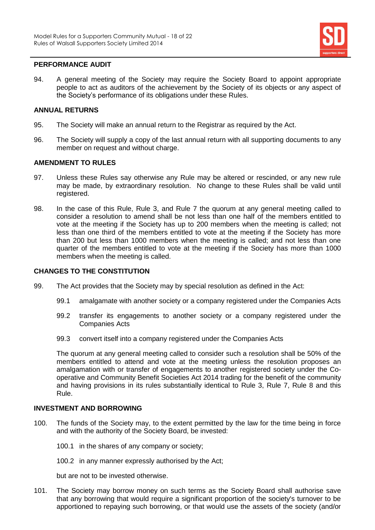

# **PERFORMANCE AUDIT**

94. A general meeting of the Society may require the Society Board to appoint appropriate people to act as auditors of the achievement by the Society of its objects or any aspect of the Society's performance of its obligations under these Rules.

# **ANNUAL RETURNS**

- 95. The Society will make an annual return to the Registrar as required by the Act.
- 96. The Society will supply a copy of the last annual return with all supporting documents to any member on request and without charge.

#### **AMENDMENT TO RULES**

- 97. Unless these Rules say otherwise any Rule may be altered or rescinded, or any new rule may be made, by extraordinary resolution. No change to these Rules shall be valid until registered.
- 98. In the case of this Rule, Rule 3, and Rule [7](#page-4-0) the quorum at any general meeting called to consider a resolution to amend shall be not less than one half of the members entitled to vote at the meeting if the Society has up to 200 members when the meeting is called; not less than one third of the members entitled to vote at the meeting if the Society has more than 200 but less than 1000 members when the meeting is called; and not less than one quarter of the members entitled to vote at the meeting if the Society has more than 1000 members when the meeting is called.

#### **CHANGES TO THE CONSTITUTION**

- 99. The Act provides that the Society may by special resolution as defined in the Act:
	- 99.1 amalgamate with another society or a company registered under the Companies Acts
	- 99.2 transfer its engagements to another society or a company registered under the Companies Acts
	- 99.3 convert itself into a company registered under the Companies Acts

The quorum at any general meeting called to consider such a resolution shall be 50% of the members entitled to attend and vote at the meeting unless the resolution proposes an amalgamation with or transfer of engagements to another registered society under the Cooperative and Community Benefit Societies Act 2014 trading for the benefit of the community and having provisions in its rules substantially identical to Rule 3, Rule [7,](#page-4-0) Rule 8 and this Rule.

#### **INVESTMENT AND BORROWING**

- 100. The funds of the Society may, to the extent permitted by the law for the time being in force and with the authority of the Society Board, be invested:
	- 100.1 in the shares of any company or society;
	- 100.2 in any manner expressly authorised by the Act;

but are not to be invested otherwise.

101. The Society may borrow money on such terms as the Society Board shall authorise save that any borrowing that would require a significant proportion of the society's turnover to be apportioned to repaying such borrowing, or that would use the assets of the society (and/or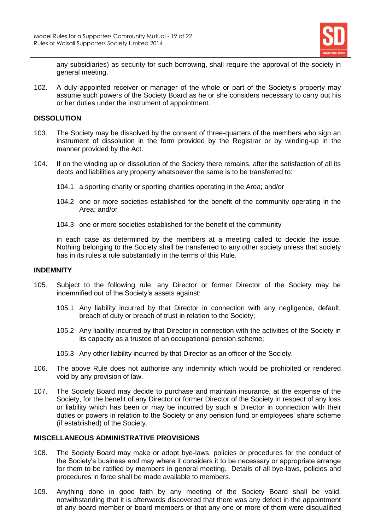

any subsidiaries) as security for such borrowing, shall require the approval of the society in general meeting.

102. A duly appointed receiver or manager of the whole or part of the Society's property may assume such powers of the Society Board as he or she considers necessary to carry out his or her duties under the instrument of appointment.

#### **DISSOLUTION**

- 103. The Society may be dissolved by the consent of three-quarters of the members who sign an instrument of dissolution in the form provided by the Registrar or by winding-up in the manner provided by the Act.
- 104. If on the winding up or dissolution of the Society there remains, after the satisfaction of all its debts and liabilities any property whatsoever the same is to be transferred to:
	- 104.1 a sporting charity or sporting charities operating in the Area; and/or
	- 104.2 one or more societies established for the benefit of the community operating in the Area; and/or
	- 104.3 one or more societies established for the benefit of the community

in each case as determined by the members at a meeting called to decide the issue. Nothing belonging to the Society shall be transferred to any other society unless that society has in its rules a rule substantially in the terms of this Rule.

#### **INDEMNITY**

- 105. Subject to the following rule, any Director or former Director of the Society may be indemnified out of the Society's assets against:
	- 105.1 Any liability incurred by that Director in connection with any negligence, default, breach of duty or breach of trust in relation to the Society;
	- 105.2 Any liability incurred by that Director in connection with the activities of the Society in its capacity as a trustee of an occupational pension scheme;
	- 105.3 Any other liability incurred by that Director as an officer of the Society.
- 106. The above Rule does not authorise any indemnity which would be prohibited or rendered void by any provision of law.
- 107. The Society Board may decide to purchase and maintain insurance, at the expense of the Society, for the benefit of any Director or former Director of the Society in respect of any loss or liability which has been or may be incurred by such a Director in connection with their duties or powers in relation to the Society or any pension fund or employees' share scheme (if established) of the Society.

# **MISCELLANEOUS ADMINISTRATIVE PROVISIONS**

- 108. The Society Board may make or adopt bye-laws, policies or procedures for the conduct of the Society's business and may where it considers it to be necessary or appropriate arrange for them to be ratified by members in general meeting. Details of all bye-laws, policies and procedures in force shall be made available to members.
- 109. Anything done in good faith by any meeting of the Society Board shall be valid, notwithstanding that it is afterwards discovered that there was any defect in the appointment of any board member or board members or that any one or more of them were disqualified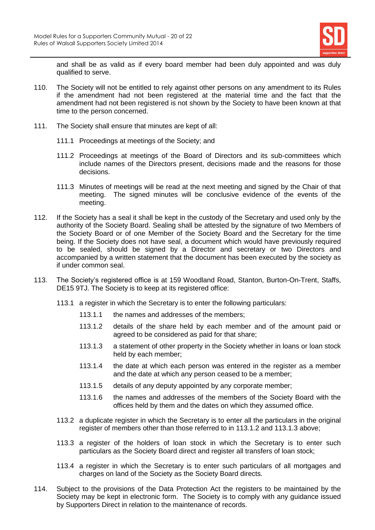

and shall be as valid as if every board member had been duly appointed and was duly qualified to serve.

- 110. The Society will not be entitled to rely against other persons on any amendment to its Rules if the amendment had not been registered at the material time and the fact that the amendment had not been registered is not shown by the Society to have been known at that time to the person concerned.
- 111. The Society shall ensure that minutes are kept of all:
	- 111.1 Proceedings at meetings of the Society; and
	- 111.2 Proceedings at meetings of the Board of Directors and its sub-committees which include names of the Directors present, decisions made and the reasons for those decisions.
	- 111.3 Minutes of meetings will be read at the next meeting and signed by the Chair of that meeting. The signed minutes will be conclusive evidence of the events of the meeting.
- 112. If the Society has a seal it shall be kept in the custody of the Secretary and used only by the authority of the Society Board. Sealing shall be attested by the signature of two Members of the Society Board or of one Member of the Society Board and the Secretary for the time being. If the Society does not have seal, a document which would have previously required to be sealed, should be signed by a Director and secretary or two Directors and accompanied by a written statement that the document has been executed by the society as if under common seal.
- 113. The Society's registered office is at 159 Woodland Road, Stanton, Burton-On-Trent, Staffs, DE15 9TJ. The Society is to keep at its registered office:
	- 113.1 a register in which the Secretary is to enter the following particulars:
		- 113.1.1 the names and addresses of the members;
		- 113.1.2 details of the share held by each member and of the amount paid or agreed to be considered as paid for that share;
		- 113.1.3 a statement of other property in the Society whether in loans or loan stock held by each member;
		- 113.1.4 the date at which each person was entered in the register as a member and the date at which any person ceased to be a member;
		- 113.1.5 details of any deputy appointed by any corporate member;
		- 113.1.6 the names and addresses of the members of the Society Board with the offices held by them and the dates on which they assumed office.
	- 113.2 a duplicate register in which the Secretary is to enter all the particulars in the original register of members other than those referred to in 113.1.2 and 113.1.3 above;
	- 113.3 a register of the holders of loan stock in which the Secretary is to enter such particulars as the Society Board direct and register all transfers of loan stock;
	- 113.4 a register in which the Secretary is to enter such particulars of all mortgages and charges on land of the Society as the Society Board directs.
- 114. Subject to the provisions of the Data Protection Act the registers to be maintained by the Society may be kept in electronic form. The Society is to comply with any guidance issued by Supporters Direct in relation to the maintenance of records.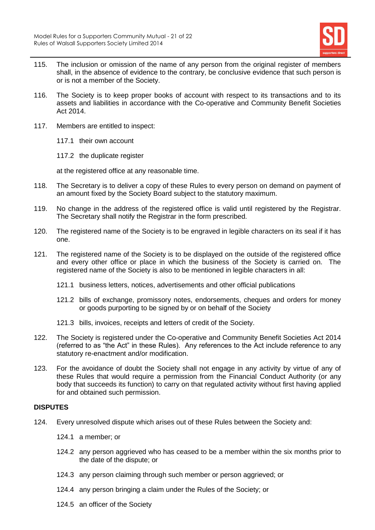

- 115. The inclusion or omission of the name of any person from the original register of members shall, in the absence of evidence to the contrary, be conclusive evidence that such person is or is not a member of the Society.
- 116. The Society is to keep proper books of account with respect to its transactions and to its assets and liabilities in accordance with the Co-operative and Community Benefit Societies Act 2014.
- 117. Members are entitled to inspect:
	- 117.1 their own account
	- 117.2 the duplicate register

at the registered office at any reasonable time.

- 118. The Secretary is to deliver a copy of these Rules to every person on demand on payment of an amount fixed by the Society Board subject to the statutory maximum.
- 119. No change in the address of the registered office is valid until registered by the Registrar. The Secretary shall notify the Registrar in the form prescribed.
- 120. The registered name of the Society is to be engraved in legible characters on its seal if it has one.
- 121. The registered name of the Society is to be displayed on the outside of the registered office and every other office or place in which the business of the Society is carried on. The registered name of the Society is also to be mentioned in legible characters in all:
	- 121.1 business letters, notices, advertisements and other official publications
	- 121.2 bills of exchange, promissory notes, endorsements, cheques and orders for money or goods purporting to be signed by or on behalf of the Society
	- 121.3 bills, invoices, receipts and letters of credit of the Society.
- 122. The Society is registered under the Co-operative and Community Benefit Societies Act 2014 (referred to as "the Act" in these Rules). Any references to the Act include reference to any statutory re-enactment and/or modification.
- 123. For the avoidance of doubt the Society shall not engage in any activity by virtue of any of these Rules that would require a permission from the Financial Conduct Authority (or any body that succeeds its function) to carry on that regulated activity without first having applied for and obtained such permission.

# **DISPUTES**

- 124. Every unresolved dispute which arises out of these Rules between the Society and:
	- 124.1 a member; or
	- 124.2 any person aggrieved who has ceased to be a member within the six months prior to the date of the dispute; or
	- 124.3 any person claiming through such member or person aggrieved; or
	- 124.4 any person bringing a claim under the Rules of the Society; or
	- 124.5 an officer of the Society